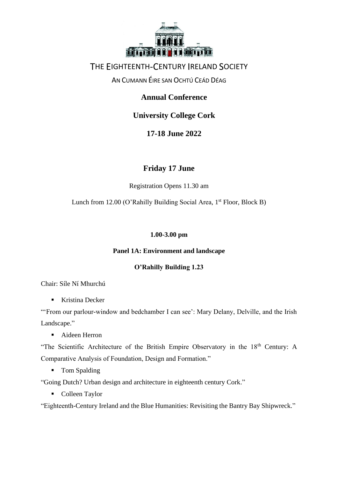

### AN CUMANN ÉIRE SAN OCHTÚ CEÁD DÉAG

### **Annual Conference**

## **University College Cork**

## **17-18 June 2022**

### **Friday 17 June**

Registration Opens 11.30 am

Lunch from 12.00 (O'Rahilly Building Social Area, 1<sup>st</sup> Floor, Block B)

### **1.00-3.00 pm**

### **Panel 1A: Environment and landscape**

### **O'Rahilly Building 1.23**

Chair: Síle Ní Mhurchú

■ Kristina Decker

"'From our parlour-window and bedchamber I can see': Mary Delany, Delville, and the Irish Landscape."

■ Aideen Herron

"The Scientific Architecture of the British Empire Observatory in the 18<sup>th</sup> Century: A Comparative Analysis of Foundation, Design and Formation."

■ Tom Spalding

"Going Dutch? Urban design and architecture in eighteenth century Cork."

■ Colleen Taylor

"Eighteenth-Century Ireland and the Blue Humanities: Revisiting the Bantry Bay Shipwreck."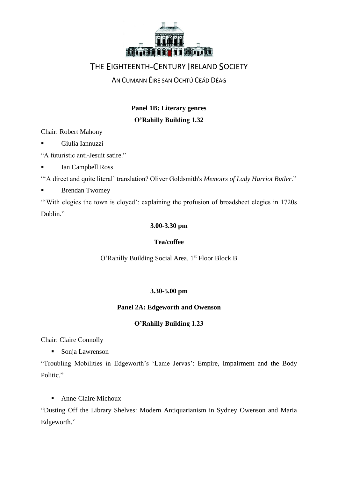

AN CUMANN ÉIRE SAN OCHTÚ CEÁD DÉAG

## **Panel 1B: Literary genres O'Rahilly Building 1.32**

Chair: Robert Mahony

▪ Giulia Iannuzzi

"A futuristic anti-Jesuit satire."

Ian Campbell Ross

"'A direct and quite literal' translation? Oliver Goldsmith's *Memoirs of Lady Harriot Butler*."

■ Brendan Twomey

"With elegies the town is cloyed': explaining the profusion of broadsheet elegies in 1720s Dublin."

### **3.00-3.30 pm**

### **Tea/coffee**

O'Rahilly Building Social Area, 1<sup>st</sup> Floor Block B

### **3.30-5.00 pm**

### **Panel 2A: Edgeworth and Owenson**

### **O'Rahilly Building 1.23**

Chair: Claire Connolly

■ Sonja Lawrenson

"Troubling Mobilities in Edgeworth's 'Lame Jervas': Empire, Impairment and the Body Politic."

■ Anne-Claire Michoux

"Dusting Off the Library Shelves: Modern Antiquarianism in Sydney Owenson and Maria Edgeworth."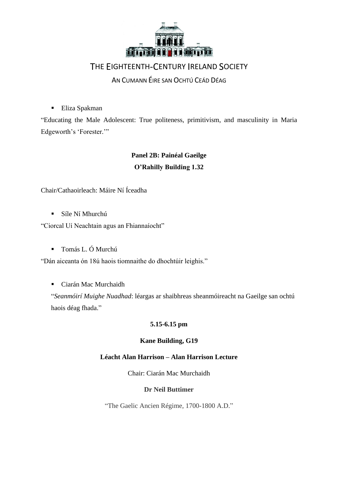

AN CUMANN ÉIRE SAN OCHTÚ CEÁD DÉAG

■ Eliza Spakman

"Educating the Male Adolescent: True politeness, primitivism, and masculinity in Maria Edgeworth's 'Forester.'"

## **Panel 2B: Painéal Gaeilge O'Rahilly Building 1.32**

### Chair/Cathaoirleach: Máire Ní Íceadha

▪ Síle Ní Mhurchú

"Ciorcal Uí Neachtain agus an Fhiannaíocht"

▪ Tomás L. Ó Murchú

"Dán aiceanta ón 18ú haois tiomnaithe do dhochtúir leighis."

■ Ciarán Mac Murchaidh

"*Seanmóirí Muighe Nuadhad*: léargas ar shaibhreas sheanmóireacht na Gaeilge san ochtú haois déag fhada."

### **5.15-6.15 pm**

#### **Kane Building, G19**

#### **Léacht Alan Harrison – Alan Harrison Lecture**

Chair: Ciarán Mac Murchaidh

#### **Dr Neil Buttimer**

"The Gaelic Ancien Régime, 1700-1800 A.D."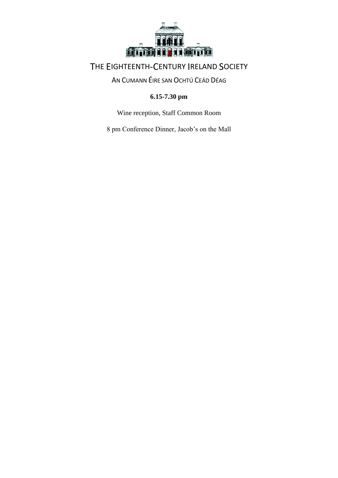

## AN CUMANN ÉIRE SAN OCHTÚ CEÁD DÉAG

### **6.15-7.30 pm**

Wine reception, Staff Common Room

8 pm Conference Dinner, Jacob's on the Mall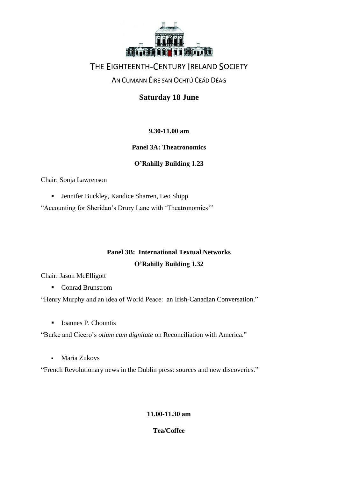

### AN CUMANN ÉIRE SAN OCHTÚ CEÁD DÉAG

**Saturday 18 June**

### **9.30-11.00 am**

### **Panel 3A: Theatronomics**

### **O'Rahilly Building 1.23**

Chair: Sonja Lawrenson

■ Jennifer Buckley, Kandice Sharren, Leo Shipp

"Accounting for Sheridan's Drury Lane with 'Theatronomics'"

## **Panel 3B: International Textual Networks O'Rahilly Building 1.32**

Chair: Jason McElligott

■ Conrad Brunstrom

"Henry Murphy and an idea of World Peace: an Irish-Canadian Conversation."

■ Ioannes P. Chountis

"Burke and Cicero's *otium cum dignitate* on Reconciliation with America."

▪ Maria Zukovs

"French Revolutionary news in the Dublin press: sources and new discoveries."

### **11.00-11.30 am**

**Tea/Coffee**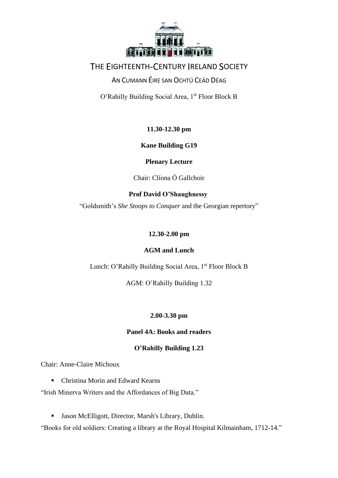

### AN CUMANN ÉIRE SAN OCHTÚ CEÁD DÉAG

O'Rahilly Building Social Area, 1st Floor Block B

### **11.30-12.30 pm**

### **Kane Building G19**

### **Plenary Lecture**

Chair: Clíona Ó Gallchoir

### **Prof David O'Shaughnessy**

"Goldsmith's *She Stoops to Conquer* and the Georgian repertory"

### **12.30-2.00 pm**

### **AGM and Lunch**

Lunch: O'Rahilly Building Social Area, 1<sup>st</sup> Floor Block B

AGM: O'Rahilly Building 1.32

### **2.00-3.30 pm**

### **Panel 4A: Books and readers**

### **O'Rahilly Building 1.23**

Chair: Anne-Claire Michoux

■ Christina Morin and Edward Kearns

"Irish Minerva Writers and the Affordances of Big Data."

▪ Jason McElligott, Director, Marsh's Library, Dublin.

"Books for old soldiers: Creating a library at the Royal Hospital Kilmainham, 1712-14."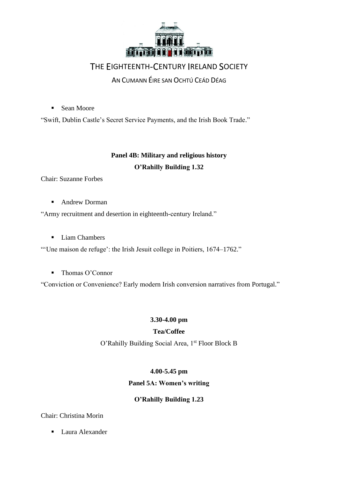

AN CUMANN ÉIRE SAN OCHTÚ CEÁD DÉAG

■ Sean Moore

"Swift, Dublin Castle's Secret Service Payments, and the Irish Book Trade."

## **Panel 4B: Military and religious history O'Rahilly Building 1.32**

Chair: Suzanne Forbes

■ Andrew Dorman

"Army recruitment and desertion in eighteenth-century Ireland."

■ Liam Chambers

"'Une maison de refuge': the Irish Jesuit college in Poitiers, 1674–1762."

■ Thomas O'Connor

"Conviction or Convenience? Early modern Irish conversion narratives from Portugal."

### **3.30-4.00 pm**

### **Tea/Coffee**

O'Rahilly Building Social Area, 1st Floor Block B

### **4.00-5.45 pm**

### **Panel 5A: Women's writing**

### **O'Rahilly Building 1.23**

### Chair: Christina Morin

■ Laura Alexander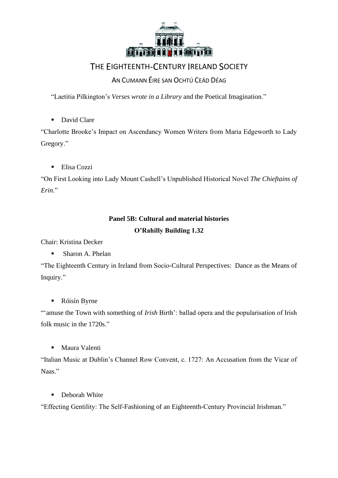

### AN CUMANN ÉIRE SAN OCHTÚ CEÁD DÉAG

"Laetitia Pilkington's *Verses wrote in a Library* and the Poetical Imagination."

■ David Clare

"Charlotte Brooke's Impact on Ascendancy Women Writers from Maria Edgeworth to Lady Gregory."

■ Elisa Cozzi

"On First Looking into Lady Mount Cashell's Unpublished Historical Novel *The Chieftains of Erin*."

# **Panel 5B: Cultural and material histories**

### **O'Rahilly Building 1.32**

Chair: Kristina Decker

■ Sharon A. Phelan

"The Eighteenth Century in Ireland from Socio-Cultural Perspectives: Dance as the Means of Inquiry."

■ Róisín Byrne

"'amuse the Town with something of *Irish* Birth': ballad opera and the popularisation of Irish folk music in the 1720s."

■ Maura Valenti

"Italian Music at Dublin's Channel Row Convent, c. 1727: An Accusation from the Vicar of Naas."

■ Deborah White

"Effecting Gentility: The Self-Fashioning of an Eighteenth-Century Provincial Irishman."